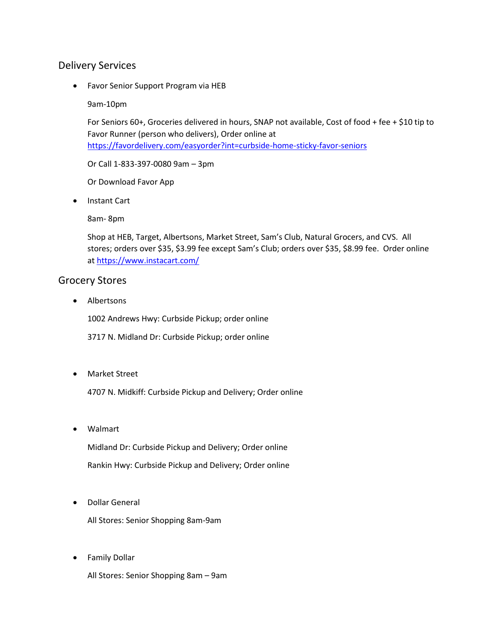## Delivery Services

• Favor Senior Support Program via HEB

9am-10pm

For Seniors 60+, Groceries delivered in hours, SNAP not available, Cost of food + fee + \$10 tip to Favor Runner (person who delivers), Order online at <https://favordelivery.com/easyorder?int=curbside-home-sticky-favor-seniors>

Or Call 1-833-397-0080 9am – 3pm

Or Download Favor App

• Instant Cart

8am- 8pm

Shop at HEB, Target, Albertsons, Market Street, Sam's Club, Natural Grocers, and CVS. All stores; orders over \$35, \$3.99 fee except Sam's Club; orders over \$35, \$8.99 fee. Order online a[t https://www.instacart.com/](https://www.instacart.com/)

## Grocery Stores

• Albertsons

1002 Andrews Hwy: Curbside Pickup; order online

3717 N. Midland Dr: Curbside Pickup; order online

• Market Street

4707 N. Midkiff: Curbside Pickup and Delivery; Order online

• Walmart

Midland Dr: Curbside Pickup and Delivery; Order online Rankin Hwy: Curbside Pickup and Delivery; Order online

• Dollar General

All Stores: Senior Shopping 8am-9am

• Family Dollar

All Stores: Senior Shopping 8am – 9am